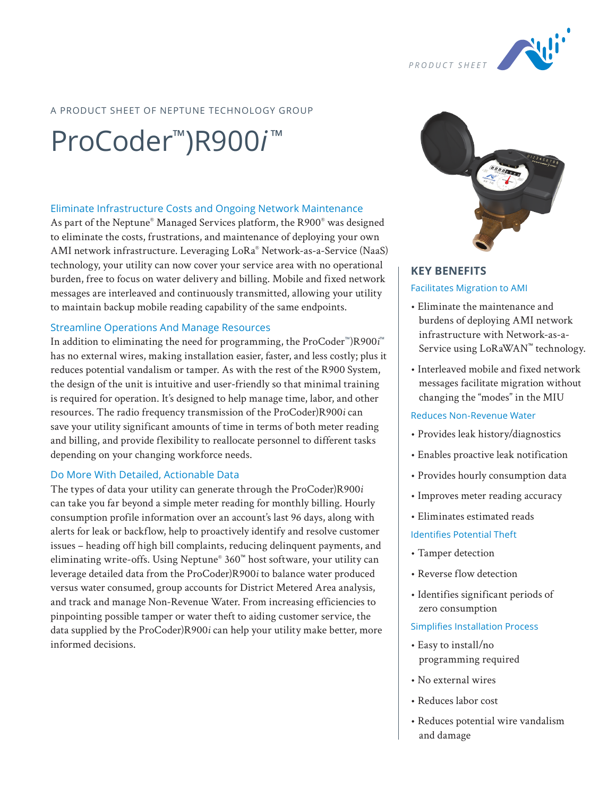

# A PRODUCT SHEET OF NEPTUNE TECHNOLOGY GROUP

# ProCoder™)R900*i* ™

### Eliminate Infrastructure Costs and Ongoing Network Maintenance

As part of the Neptune® Managed Services platform, the R900® was designed to eliminate the costs, frustrations, and maintenance of deploying your own AMI network infrastructure. Leveraging LoRa® Network-as-a-Service (NaaS) technology, your utility can now cover your service area with no operational burden, free to focus on water delivery and billing. Mobile and fixed network messages are interleaved and continuously transmitted, allowing your utility to maintain backup mobile reading capability of the same endpoints.

### Streamline Operations And Manage Resources

In addition to eliminating the need for programming, the ProCoder™)R900*i* ™ has no external wires, making installation easier, faster, and less costly; plus it reduces potential vandalism or tamper. As with the rest of the R900 System, the design of the unit is intuitive and user-friendly so that minimal training is required for operation. It's designed to help manage time, labor, and other resources. The radio frequency transmission of the ProCoder)R900*i* can save your utility significant amounts of time in terms of both meter reading and billing, and provide flexibility to reallocate personnel to different tasks depending on your changing workforce needs.

### Do More With Detailed, Actionable Data

The types of data your utility can generate through the ProCoder)R900*i* can take you far beyond a simple meter reading for monthly billing. Hourly consumption profile information over an account's last 96 days, along with alerts for leak or backflow, help to proactively identify and resolve customer issues – heading off high bill complaints, reducing delinquent payments, and eliminating write-offs. Using Neptune® 360™ host software, your utility can leverage detailed data from the ProCoder)R900*i* to balance water produced versus water consumed, group accounts for District Metered Area analysis, and track and manage Non-Revenue Water. From increasing efficiencies to pinpointing possible tamper or water theft to aiding customer service, the data supplied by the ProCoder)R900*i* can help your utility make better, more informed decisions.



# **KEY BENEFITS** Facilitates Migration to AMI

- Eliminate the maintenance and burdens of deploying AMI network infrastructure with Network-as-a-Service using LoRaWAN™ technology.
- Interleaved mobile and fixed network messages facilitate migration without changing the "modes" in the MIU

### Reduces Non-Revenue Water

- Provides leak history/diagnostics
- Enables proactive leak notification
- Provides hourly consumption data
- Improves meter reading accuracy
- Eliminates estimated reads

#### Identifies Potential Theft

- Tamper detection
- Reverse flow detection
- Identifies significant periods of zero consumption

### Simplifies Installation Process

- Easy to install/no programming required
- No external wires
- Reduces labor cost
- Reduces potential wire vandalism and damage